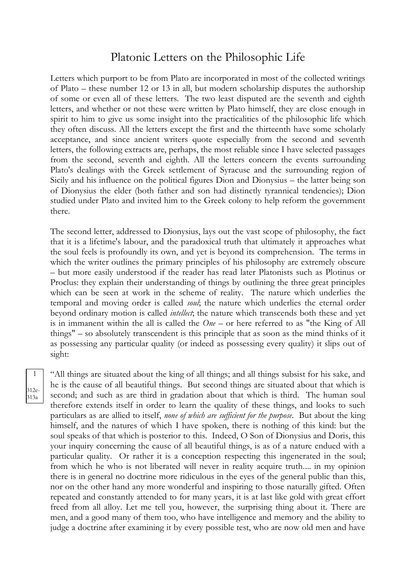## Platonic Letters on the Philosophic Life

Letters which purport to be from Plato are incorporated in most of the collected writings of Plato – these number 12 or 13 in all, but modern scholarship disputes the authorship of some or even all of these letters. The two least disputed are the seventh and eighth letters, and whether or not these were written by Plato himself, they are close enough in spirit to him to give us some insight into the practicalities of the philosophic life which they often discuss. All the letters except the first and the thirteenth have some scholarly acceptance, and since ancient writers quote especially from the second and seventh letters, the following extracts are, perhaps, the most reliable since I have selected passages from the second, seventh and eighth. All the letters concern the events surrounding Plato's dealings with the Greek settlement of Syracuse and the surrounding region of Sicily and his influence on the political figures Dion and Dionysius – the latter being son of Dionysius the elder (both father and son had distinctly tyrannical tendencies); Dion studied under Plato and invited him to the Greek colony to help reform the government there.

The second letter, addressed to Dionysius, lays out the vast scope of philosophy, the fact that it is a lifetime's labour, and the paradoxical truth that ultimately it approaches what the soul feels is profoundly its own, and yet is beyond its comprehension. The terms in which the writer outlines the primary principles of his philosophy are extremely obscure – but more easily understood if the reader has read later Platonists such as Plotinus or Proclus: they explain their understanding of things by outlining the three great principles which can be seen at work in the scheme of reality. The nature which underlies the temporal and moving order is called *soul*; the nature which underlies the eternal order beyond ordinary motion is called *intellect*; the nature which transcends both these and yet is in immanent within the all is called the *One* – or here referred to as "the King of All things" – so absolutely transcendent is this principle that as soon as the mind thinks of it as possessing any particular quality (or indeed as possessing every quality) it slips out of sight:

1 312e-313a

"All things are situated about the king of all things; and all things subsist for his sake, and he is the cause of all beautiful things. But second things are situated about that which is second; and such as are third in gradation about that which is third. The human soul therefore extends itself in order to learn the quality of these things, and looks to such particulars as are allied to itself, *none of which are sufficient for the purpose*. But about the king himself, and the natures of which I have spoken, there is nothing of this kind: but the soul speaks of that which is posterior to this. Indeed, O Son of Dionysius and Doris, this your inquiry concerning the cause of all beautiful things, is as of a nature endued with a particular quality. Or rather it is a conception respecting this ingenerated in the soul; from which he who is not liberated will never in reality acquire truth.... in my opinion there is in general no doctrine more ridiculous in the eyes of the general public than this, nor on the other hand any more wonderful and inspiring to those naturally gifted. Often repeated and constantly attended to for many years, it is at last like gold with great effort freed from all alloy. Let me tell you, however, the surprising thing about it. There are men, and a good many of them too, who have intelligence and memory and the ability to judge a doctrine after examining it by every possible test, who are now old men and have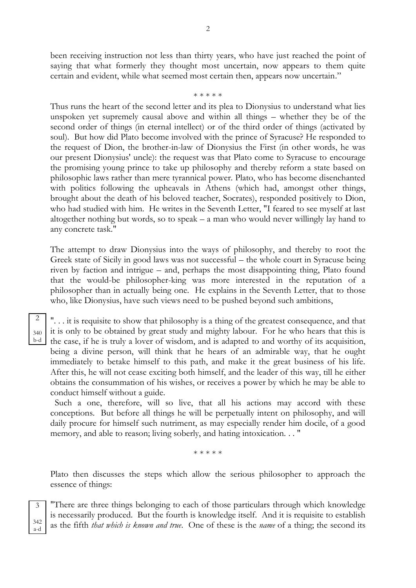been receiving instruction not less than thirty years, who have just reached the point of saying that what formerly they thought most uncertain, now appears to them quite certain and evident, while what seemed most certain then, appears now uncertain."

## \* \* \* \* \*

Thus runs the heart of the second letter and its plea to Dionysius to understand what lies unspoken yet supremely causal above and within all things – whether they be of the second order of things (in eternal intellect) or of the third order of things (activated by soul). But how did Plato become involved with the prince of Syracuse? He responded to the request of Dion, the brother-in-law of Dionysius the First (in other words, he was our present Dionysius' uncle): the request was that Plato come to Syracuse to encourage the promising young prince to take up philosophy and thereby reform a state based on philosophic laws rather than mere tyrannical power. Plato, who has become disenchanted with politics following the upheavals in Athens (which had, amongst other things, brought about the death of his beloved teacher, Socrates), responded positively to Dion, who had studied with him. He writes in the Seventh Letter, "I feared to see myself at last altogether nothing but words, so to speak – a man who would never willingly lay hand to any concrete task."

The attempt to draw Dionysius into the ways of philosophy, and thereby to root the Greek state of Sicily in good laws was not successful – the whole court in Syracuse being riven by faction and intrigue – and, perhaps the most disappointing thing, Plato found that the would-be philosopher-king was more interested in the reputation of a philosopher than in actually being one. He explains in the Seventh Letter, that to those who, like Dionysius, have such views need to be pushed beyond such ambitions,

340 b-d

2

". . . it is requisite to show that philosophy is a thing of the greatest consequence, and that it is only to be obtained by great study and mighty labour. For he who hears that this is the case, if he is truly a lover of wisdom, and is adapted to and worthy of its acquisition, being a divine person, will think that he hears of an admirable way, that he ought immediately to betake himself to this path, and make it the great business of his life. After this, he will not cease exciting both himself, and the leader of this way, till he either obtains the consummation of his wishes, or receives a power by which he may be able to conduct himself without a guide.

 Such a one, therefore, will so live, that all his actions may accord with these conceptions. But before all things he will be perpetually intent on philosophy, and will daily procure for himself such nutriment, as may especially render him docile, of a good memory, and able to reason; living soberly, and hating intoxication. . . "

\* \* \* \* \*

Plato then discusses the steps which allow the serious philosopher to approach the essence of things:

3 342 a-d

"There are three things belonging to each of those particulars through which knowledge is necessarily produced. But the fourth is knowledge itself. And it is requisite to establish as the fifth *that which is known and true*. One of these is the *name* of a thing; the second its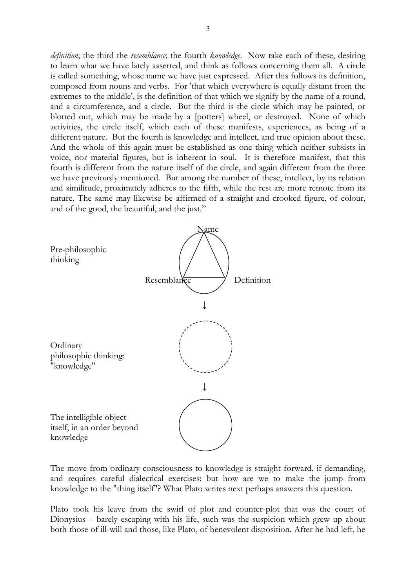*definition*; the third the *resemblance*; the fourth *knowledge*. Now take each of these, desiring to learn what we have lately asserted, and think as follows concerning them all. A circle is called something, whose name we have just expressed. After this follows its definition, composed from nouns and verbs. For 'that which everywhere is equally distant from the extremes to the middle', is the definition of that which we signify by the name of a round, and a circumference, and a circle. But the third is the circle which may be painted, or blotted out, which may be made by a [potters] wheel, or destroyed. None of which activities, the circle itself, which each of these manifests, experiences, as being of a different nature. But the fourth is knowledge and intellect, and true opinion about these. And the whole of this again must be established as one thing which neither subsists in voice, nor material figures, but is inherent in soul. It is therefore manifest, that this fourth is different from the nature itself of the circle, and again different from the three we have previously mentioned. But among the number of these, intellect, by its relation and similitude, proximately adheres to the fifth, while the rest are more remote from its nature. The same may likewise be affirmed of a straight and crooked figure, of colour, and of the good, the beautiful, and the just."



The move from ordinary consciousness to knowledge is straight-forward, if demanding, and requires careful dialectical exercises: but how are we to make the jump from knowledge to the "thing itself"? What Plato writes next perhaps answers this question.

Plato took his leave from the swirl of plot and counter-plot that was the court of Dionysius – barely escaping with his life, such was the suspicion which grew up about both those of ill-will and those, like Plato, of benevolent disposition. After he had left, he